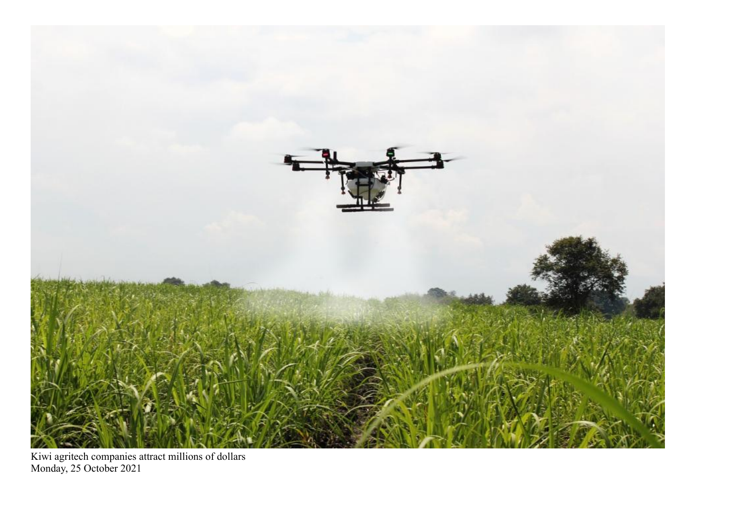

Kiwi agritech companies attract millions of dollars Monday, 25 October 2021